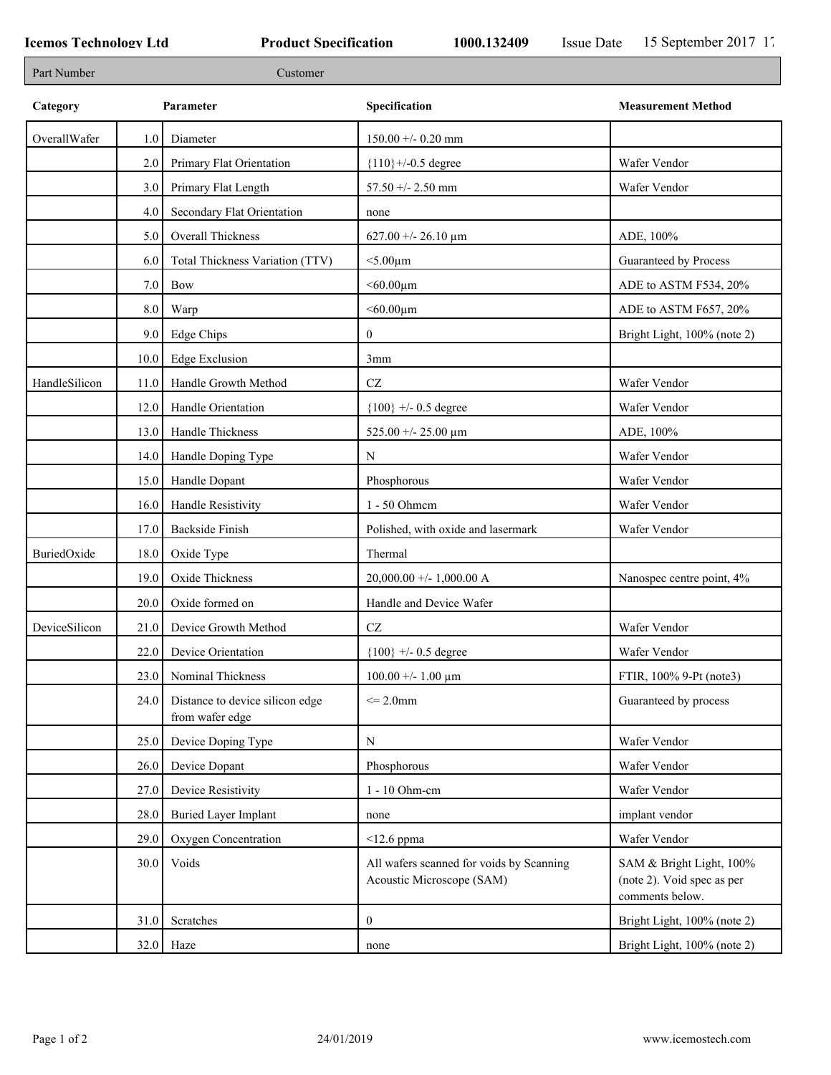| Part Number   |         | Customer                                           |                                                                       |                                                                           |
|---------------|---------|----------------------------------------------------|-----------------------------------------------------------------------|---------------------------------------------------------------------------|
| Category      |         | Parameter                                          | Specification                                                         | <b>Measurement Method</b>                                                 |
| OverallWafer  | 1.0     | Diameter                                           | $150.00 +/- 0.20$ mm                                                  |                                                                           |
|               | 2.0     | Primary Flat Orientation                           | ${110}$ +/-0.5 degree                                                 | Wafer Vendor                                                              |
|               | 3.0     | Primary Flat Length                                | $57.50 + - 2.50$ mm                                                   | Wafer Vendor                                                              |
|               | 4.0     | Secondary Flat Orientation                         | none                                                                  |                                                                           |
|               | 5.0     | Overall Thickness                                  | $627.00 + - 26.10 \text{ µm}$                                         | ADE, 100%                                                                 |
|               | 6.0     | Total Thickness Variation (TTV)                    | $<$ 5.00 $\mu$ m                                                      | Guaranteed by Process                                                     |
|               | 7.0     | Bow                                                | $<$ 60.00 $\mu$ m                                                     | ADE to ASTM F534, 20%                                                     |
|               | $8.0\,$ | Warp                                               | $<$ 60.00 $\mu$ m                                                     | ADE to ASTM F657, 20%                                                     |
|               | 9.0     | Edge Chips                                         | $\overline{0}$                                                        | Bright Light, 100% (note 2)                                               |
|               | 10.0    | <b>Edge Exclusion</b>                              | 3mm                                                                   |                                                                           |
| HandleSilicon | 11.0    | Handle Growth Method                               | $\operatorname{CZ}$                                                   | Wafer Vendor                                                              |
|               | 12.0    | Handle Orientation                                 | ${100}$ +/- 0.5 degree                                                | Wafer Vendor                                                              |
|               | 13.0    | Handle Thickness                                   | 525.00 +/- 25.00 $\mu$ m                                              | ADE, 100%                                                                 |
|               | 14.0    | Handle Doping Type                                 | N                                                                     | Wafer Vendor                                                              |
|               | 15.0    | Handle Dopant                                      | Phosphorous                                                           | Wafer Vendor                                                              |
|               | 16.0    | Handle Resistivity                                 | 1 - 50 Ohmem                                                          | Wafer Vendor                                                              |
|               | 17.0    | <b>Backside Finish</b>                             | Polished, with oxide and lasermark                                    | Wafer Vendor                                                              |
| BuriedOxide   | 18.0    | Oxide Type                                         | Thermal                                                               |                                                                           |
|               | 19.0    | Oxide Thickness                                    | 20,000.00 +/- 1,000.00 A                                              | Nanospec centre point, 4%                                                 |
|               | 20.0    | Oxide formed on                                    | Handle and Device Wafer                                               |                                                                           |
| DeviceSilicon | 21.0    | Device Growth Method                               | $\operatorname{CZ}$                                                   | Wafer Vendor                                                              |
|               | 22.0    | Device Orientation                                 | ${100}$ +/- 0.5 degree                                                | Wafer Vendor                                                              |
|               |         | 23.0 Nominal Thickness                             | $100.00 + - 1.00 \mu m$                                               | FTIR, 100% 9-Pt (note3)                                                   |
|               | 24.0    | Distance to device silicon edge<br>from wafer edge | $\leq$ 2.0mm                                                          | Guaranteed by process                                                     |
|               | 25.0    | Device Doping Type                                 | N                                                                     | Wafer Vendor                                                              |
|               | 26.0    | Device Dopant                                      | Phosphorous                                                           | Wafer Vendor                                                              |
|               | 27.0    | Device Resistivity                                 | 1 - 10 Ohm-cm                                                         | Wafer Vendor                                                              |
|               | 28.0    | <b>Buried Layer Implant</b>                        | none                                                                  | implant vendor                                                            |
|               | 29.0    | Oxygen Concentration                               | $<$ 12.6 ppma                                                         | Wafer Vendor                                                              |
|               | 30.0    | Voids                                              | All wafers scanned for voids by Scanning<br>Acoustic Microscope (SAM) | SAM & Bright Light, 100%<br>(note 2). Void spec as per<br>comments below. |
|               | 31.0    | Scratches                                          | $\overline{0}$                                                        | Bright Light, 100% (note 2)                                               |
|               |         | $32.0$ Haze                                        | none                                                                  | Bright Light, 100% (note 2)                                               |